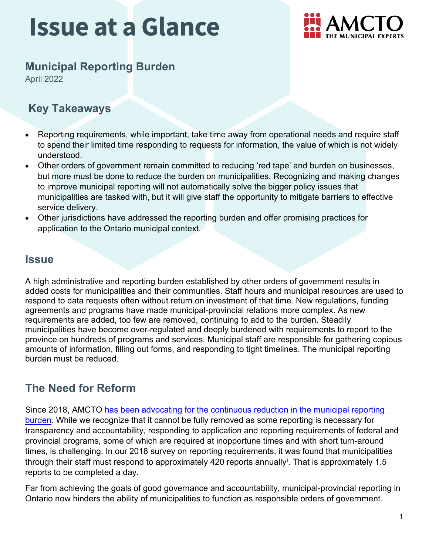

## **Municipal Reporting Burden**

April 2022

### **Key Takeaways**

- Reporting requirements, while important, take time away from operational needs and require staff to spend their limited time responding to requests for information, the value of which is not widely understood.
- Other orders of government remain committed to reducing 'red tape' and burden on businesses, but more must be done to reduce the burden on municipalities. Recognizing and making changes to improve municipal reporting will not automatically solve the bigger policy issues that municipalities are tasked with, but it will give staff the opportunity to mitigate barriers to effective service delivery.
- Other jurisdictions have addressed the reporting burden and offer promising practices for application to the Ontario municipal context.

### **Issue**

A high administrative and reporting burden established by other orders of government results in added costs for municipalities and their communities. Staff hours and municipal resources are used to respond to data requests often without return on investment of that time. New regulations, funding agreements and programs have made municipal-provincial relations more complex. As new requirements are added, too few are removed, continuing to add to the burden. Steadily municipalities have become over-regulated and deeply burdened with requirements to report to the province on hundreds of programs and services. Municipal staff are responsible for gathering copious amounts of information, filling out forms, and responding to tight timelines. The municipal reporting burden must be reduced.

### **The Need for Reform**

Since 2018, AMCTO [has been advocating for the continuous reduction in the municipal reporting](https://www.amcto.com/Advocacy-Policy/Reports-Positions/Issue-1-(3))  [burden.](https://www.amcto.com/Advocacy-Policy/Reports-Positions/Issue-1-(3)) While we recognize that it cannot be fully removed as some reporting is necessary for transparency and accountability, responding to application and reporting requirements of federal and provincial programs, some of which are required at inopportune times and with short turn-around times, is challenging. In our 2018 survey on reporting requirements, it was found that municipalities through the[i](#page-3-0)r staff must respond to approximately 420 reports annually<sup>i</sup>. That is approximately 1.5 reports to be completed a day.

Far from achieving the goals of good governance and accountability, municipal-provincial reporting in Ontario now hinders the ability of municipalities to function as responsible orders of government.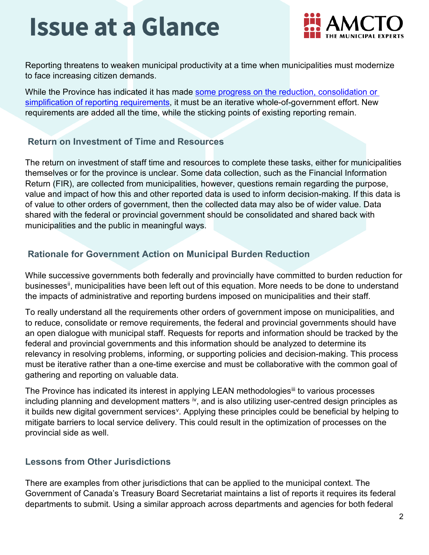

Reporting threatens to weaken municipal productivity at a time when municipalities must modernize to face increasing citizen demands.

While the Province has indicated it has made some progress on the reduction, consolidation or [simplification of reporting requirements,](https://www.mfoa.on.ca/mfoa/MAIN/MFOA_Policy_Projects/MMAH_Inventory_Required_Municipal_Reports) it must be an iterative whole-of-government effort. New requirements are added all the time, while the sticking points of existing reporting remain.

#### **Return on Investment of Time and Resources**

The return on investment of staff time and resources to complete these tasks, either for municipalities themselves or for the province is unclear. Some data collection, such as the Financial Information Return (FIR), are collected from municipalities, however, questions remain regarding the purpose, value and impact of how this and other reported data is used to inform decision-making. If this data is of value to other orders of government, then the collected data may also be of wider value. Data shared with the federal or provincial government should be consolidated and shared back with municipalities and the public in meaningful ways.

#### **Rationale for Government Action on Municipal Burden Reduction**

While successive governments both federally and provincially have committed to burden reduction for businesses<sup>[ii](#page-3-1)</sup>, municipalities have been left out of this equation. More needs to be done to understand the impacts of administrative and reporting burdens imposed on municipalities and their staff.

To really understand all the requirements other orders of government impose on municipalities, and to reduce, consolidate or remove requirements, the federal and provincial governments should have an open dialogue with municipal staff. Requests for reports and information should be tracked by the federal and provincial governments and this information should be analyzed to determine its relevancy in resolving problems, informing, or supporting policies and decision-making. This process must be iterative rather than a one-time exercise and must be collaborative with the common goal of gathering and reporting on valuable data.

The Province has indicated its interest in applying LEAN methodologies<sup>[iii](#page-3-2)</sup> to various processes including planning and development matters  $\dot{v}$ , and is also utilizing user-centred design principles as it builds new digital go[v](#page-3-4)ernment services<sup>v</sup>. Applying these principles could be beneficial by helping to mitigate barriers to local service delivery. This could result in the optimization of processes on the provincial side as well.

#### **Lessons from Other Jurisdictions**

There are examples from other jurisdictions that can be applied to the municipal context. The Government of Canada's Treasury Board Secretariat maintains a list of reports it requires its federal departments to submit. Using a similar approach across departments and agencies for both federal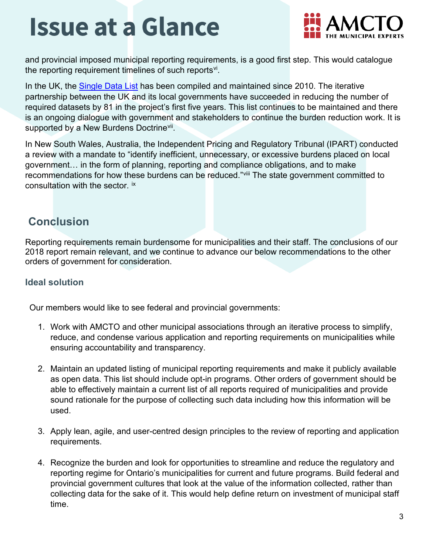

and provincial imposed municipal reporting requirements, is a good first step. This would catalogue the reporting requirement timelines of such reports<sup>vi</sup>.

In the UK, the [Single Data List](https://www.gov.uk/government/publications/single-data-list#:%7E:text=Details,it%20without%20receiving%20extra%20funding) has been compiled and maintained since 2010. The iterative partnership between the UK and its local governments have succeeded in reducing the number of required datasets by 81 in the project's first five years. This list continues to be maintained and there is an ongoing dialogue with government and stakeholders to continue the burden reduction work. It is supported by a New Burdens Doctrine<sup>vii</sup>.

In New South Wales, Australia, the Independent Pricing and Regulatory Tribunal (IPART) conducted a review with a mandate to "identify inefficient, unnecessary, or excessive burdens placed on local government… in the form of planning, reporting and compliance obligations, and to make recommendations for how these burdens can be reduced."[viii](#page-3-7) The state government committed to consultation with the sector. [ix](#page-3-8)

### **Conclusion**

Reporting requirements remain burdensome for municipalities and their staff. The conclusions of our 2018 report remain relevant, and we continue to advance our below recommendations to the other orders of government for consideration.

#### **Ideal solution**

Our members would like to see federal and provincial governments:

- 1. Work with AMCTO and other municipal associations through an iterative process to simplify, reduce, and condense various application and reporting requirements on municipalities while ensuring accountability and transparency.
- 2. Maintain an updated listing of municipal reporting requirements and make it publicly available as open data. This list should include opt-in programs. Other orders of government should be able to effectively maintain a current list of all reports required of municipalities and provide sound rationale for the purpose of collecting such data including how this information will be used.
- 3. Apply lean, agile, and user-centred design principles to the review of reporting and application requirements.
- 4. Recognize the burden and look for opportunities to streamline and reduce the regulatory and reporting regime for Ontario's municipalities for current and future programs. Build federal and provincial government cultures that look at the value of the information collected, rather than collecting data for the sake of it. This would help define return on investment of municipal staff time.